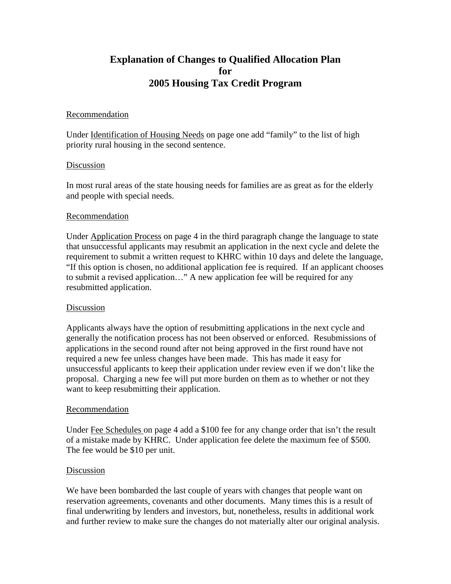# **Explanation of Changes to Qualified Allocation Plan for 2005 Housing Tax Credit Program**

## Recommendation

Under Identification of Housing Needs on page one add "family" to the list of high priority rural housing in the second sentence.

## Discussion

In most rural areas of the state housing needs for families are as great as for the elderly and people with special needs.

## **Recommendation**

Under Application Process on page 4 in the third paragraph change the language to state that unsuccessful applicants may resubmit an application in the next cycle and delete the requirement to submit a written request to KHRC within 10 days and delete the language, "If this option is chosen, no additional application fee is required. If an applicant chooses to submit a revised application…" A new application fee will be required for any resubmitted application.

#### Discussion

Applicants always have the option of resubmitting applications in the next cycle and generally the notification process has not been observed or enforced. Resubmissions of applications in the second round after not being approved in the first round have not required a new fee unless changes have been made. This has made it easy for unsuccessful applicants to keep their application under review even if we don't like the proposal. Charging a new fee will put more burden on them as to whether or not they want to keep resubmitting their application.

#### Recommendation

Under Fee Schedules on page 4 add a \$100 fee for any change order that isn't the result of a mistake made by KHRC. Under application fee delete the maximum fee of \$500. The fee would be \$10 per unit.

#### Discussion

We have been bombarded the last couple of years with changes that people want on reservation agreements, covenants and other documents. Many times this is a result of final underwriting by lenders and investors, but, nonetheless, results in additional work and further review to make sure the changes do not materially alter our original analysis.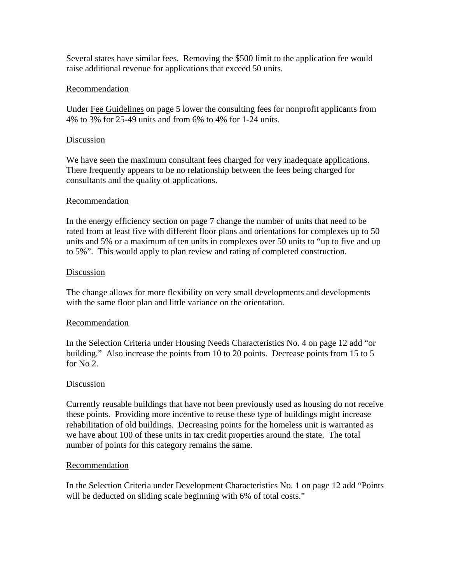Several states have similar fees. Removing the \$500 limit to the application fee would raise additional revenue for applications that exceed 50 units.

# **Recommendation**

Under Fee Guidelines on page 5 lower the consulting fees for nonprofit applicants from 4% to 3% for 25-49 units and from 6% to 4% for 1-24 units.

# Discussion

We have seen the maximum consultant fees charged for very inadequate applications. There frequently appears to be no relationship between the fees being charged for consultants and the quality of applications.

# Recommendation

In the energy efficiency section on page 7 change the number of units that need to be rated from at least five with different floor plans and orientations for complexes up to 50 units and 5% or a maximum of ten units in complexes over 50 units to "up to five and up to 5%". This would apply to plan review and rating of completed construction.

## Discussion

The change allows for more flexibility on very small developments and developments with the same floor plan and little variance on the orientation.

#### Recommendation

In the Selection Criteria under Housing Needs Characteristics No. 4 on page 12 add "or building." Also increase the points from 10 to 20 points. Decrease points from 15 to 5 for No 2.

# Discussion

Currently reusable buildings that have not been previously used as housing do not receive these points. Providing more incentive to reuse these type of buildings might increase rehabilitation of old buildings. Decreasing points for the homeless unit is warranted as we have about 100 of these units in tax credit properties around the state. The total number of points for this category remains the same.

#### Recommendation

In the Selection Criteria under Development Characteristics No. 1 on page 12 add "Points will be deducted on sliding scale beginning with 6% of total costs."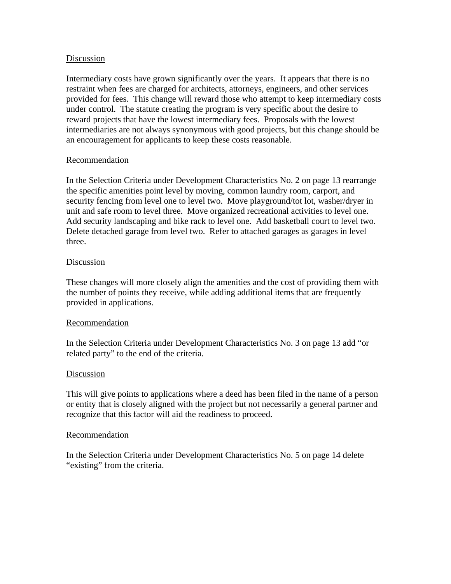# Discussion

Intermediary costs have grown significantly over the years. It appears that there is no restraint when fees are charged for architects, attorneys, engineers, and other services provided for fees. This change will reward those who attempt to keep intermediary costs under control. The statute creating the program is very specific about the desire to reward projects that have the lowest intermediary fees. Proposals with the lowest intermediaries are not always synonymous with good projects, but this change should be an encouragement for applicants to keep these costs reasonable.

# Recommendation

In the Selection Criteria under Development Characteristics No. 2 on page 13 rearrange the specific amenities point level by moving, common laundry room, carport, and security fencing from level one to level two. Move playground/tot lot, washer/dryer in unit and safe room to level three. Move organized recreational activities to level one. Add security landscaping and bike rack to level one. Add basketball court to level two. Delete detached garage from level two. Refer to attached garages as garages in level three.

## Discussion

These changes will more closely align the amenities and the cost of providing them with the number of points they receive, while adding additional items that are frequently provided in applications.

# Recommendation

In the Selection Criteria under Development Characteristics No. 3 on page 13 add "or related party" to the end of the criteria.

#### Discussion

This will give points to applications where a deed has been filed in the name of a person or entity that is closely aligned with the project but not necessarily a general partner and recognize that this factor will aid the readiness to proceed.

#### Recommendation

In the Selection Criteria under Development Characteristics No. 5 on page 14 delete "existing" from the criteria.